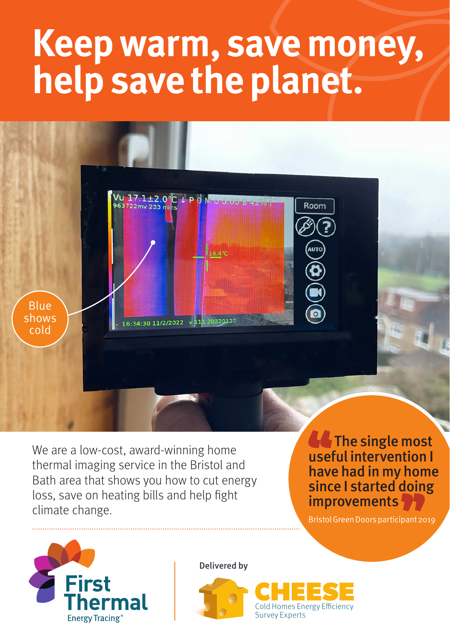## **Keep warm, save money, help save the planet.**



We are a low-cost, award-winning home thermal imaging service in the Bristol and Bath area that shows you how to cut energy loss, save on heating bills and help fight climate change.

**A** The single most useful intervention I have had in my home since I started doing improvements

Bristol Green Doors participant 2019



Delivered by